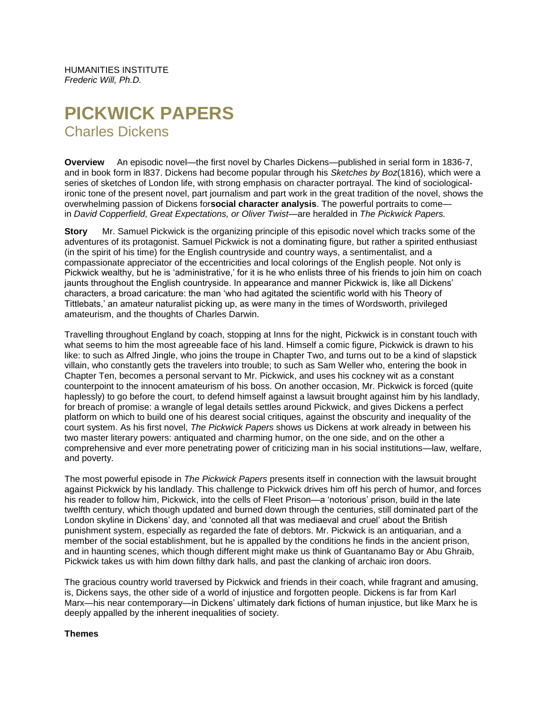HUMANITIES INSTITUTE *Frederic Will, Ph.D.*

# **PICKWICK PAPERS** Charles Dickens

**Overview** An episodic novel—the first novel by Charles Dickens—published in serial form in 1836-7, and in book form in l837. Dickens had become popular through his *Sketches by Boz*(1816), which were a series of sketches of London life, with strong emphasis on character portrayal. The kind of sociologicalironic tone of the present novel, part journalism and part work in the great tradition of the novel, shows the overwhelming passion of Dickens for**social character analysis**. The powerful portraits to come in *David Copperfield, Great Expectations, or Oliver Twist*—are heralded in *The Pickwick Papers.*

**Story** Mr. Samuel Pickwick is the organizing principle of this episodic novel which tracks some of the adventures of its protagonist. Samuel Pickwick is not a dominating figure, but rather a spirited enthusiast (in the spirit of his time) for the English countryside and country ways, a sentimentalist, and a compassionate appreciator of the eccentricities and local colorings of the English people. Not only is Pickwick wealthy, but he is 'administrative,' for it is he who enlists three of his friends to join him on coach jaunts throughout the English countryside. In appearance and manner Pickwick is, like all Dickens' characters, a broad caricature: the man 'who had agitated the scientific world with his Theory of Tittlebats,' an amateur naturalist picking up, as were many in the times of Wordsworth, privileged amateurism, and the thoughts of Charles Darwin.

Travelling throughout England by coach, stopping at Inns for the night, Pickwick is in constant touch with what seems to him the most agreeable face of his land. Himself a comic figure, Pickwick is drawn to his like: to such as Alfred Jingle, who joins the troupe in Chapter Two, and turns out to be a kind of slapstick villain, who constantly gets the travelers into trouble; to such as Sam Weller who, entering the book in Chapter Ten, becomes a personal servant to Mr. Pickwick, and uses his cockney wit as a constant counterpoint to the innocent amateurism of his boss. On another occasion, Mr. Pickwick is forced (quite haplessly) to go before the court, to defend himself against a lawsuit brought against him by his landlady, for breach of promise: a wrangle of legal details settles around Pickwick, and gives Dickens a perfect platform on which to build one of his dearest social critiques, against the obscurity and inequality of the court system. As his first novel, *The Pickwick Papers* shows us Dickens at work already in between his two master literary powers: antiquated and charming humor, on the one side, and on the other a comprehensive and ever more penetrating power of criticizing man in his social institutions—law, welfare, and poverty.

The most powerful episode in *The Pickwick Papers* presents itself in connection with the lawsuit brought against Pickwick by his landlady. This challenge to Pickwick drives him off his perch of humor, and forces his reader to follow him, Pickwick, into the cells of Fleet Prison—a 'notorious' prison, build in the late twelfth century, which though updated and burned down through the centuries, still dominated part of the London skyline in Dickens' day, and 'connoted all that was mediaeval and cruel' about the British punishment system, especially as regarded the fate of debtors. Mr. Pickwick is an antiquarian, and a member of the social establishment, but he is appalled by the conditions he finds in the ancient prison, and in haunting scenes, which though different might make us think of Guantanamo Bay or Abu Ghraib, Pickwick takes us with him down filthy dark halls, and past the clanking of archaic iron doors.

The gracious country world traversed by Pickwick and friends in their coach, while fragrant and amusing, is, Dickens says, the other side of a world of injustice and forgotten people. Dickens is far from Karl Marx—his near contemporary—in Dickens' ultimately dark fictions of human injustice, but like Marx he is deeply appalled by the inherent inequalities of society.

#### **Themes**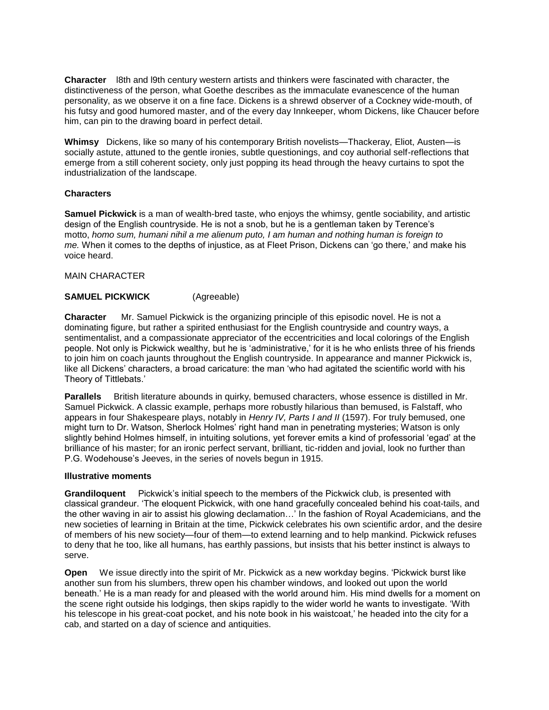**Character** l8th and l9th century western artists and thinkers were fascinated with character, the distinctiveness of the person, what Goethe describes as the immaculate evanescence of the human personality, as we observe it on a fine face. Dickens is a shrewd observer of a Cockney wide-mouth, of his futsy and good humored master, and of the every day Innkeeper, whom Dickens, like Chaucer before him, can pin to the drawing board in perfect detail.

**Whimsy** Dickens, like so many of his contemporary British novelists—Thackeray, Eliot, Austen—is socially astute, attuned to the gentle ironies, subtle questionings, and coy authorial self-reflections that emerge from a still coherent society, only just popping its head through the heavy curtains to spot the industrialization of the landscape.

# **Characters**

**Samuel Pickwick** is a man of wealth-bred taste, who enjoys the whimsy, gentle sociability, and artistic design of the English countryside. He is not a snob, but he is a gentleman taken by Terence's motto, *homo sum, humani nihil a me alienum puto, I am human and nothing human is foreign to me.* When it comes to the depths of injustice, as at Fleet Prison, Dickens can 'go there,' and make his voice heard.

# MAIN CHARACTER

# **SAMUEL PICKWICK** (Agreeable)

**Character** Mr. Samuel Pickwick is the organizing principle of this episodic novel. He is not a dominating figure, but rather a spirited enthusiast for the English countryside and country ways, a sentimentalist, and a compassionate appreciator of the eccentricities and local colorings of the English people. Not only is Pickwick wealthy, but he is 'administrative,' for it is he who enlists three of his friends to join him on coach jaunts throughout the English countryside. In appearance and manner Pickwick is, like all Dickens' characters, a broad caricature: the man 'who had agitated the scientific world with his Theory of Tittlebats.'

**Parallels** British literature abounds in quirky, bemused characters, whose essence is distilled in Mr. Samuel Pickwick. A classic example, perhaps more robustly hilarious than bemused, is Falstaff, who appears in four Shakespeare plays, notably in *Henry IV, Parts I and II* (1597). For truly bemused, one might turn to Dr. Watson, Sherlock Holmes' right hand man in penetrating mysteries; Watson is only slightly behind Holmes himself, in intuiting solutions, yet forever emits a kind of professorial 'egad' at the brilliance of his master; for an ironic perfect servant, brilliant, tic-ridden and jovial, look no further than P.G. Wodehouse's Jeeves, in the series of novels begun in 1915.

### **Illustrative moments**

**Grandiloquent** Pickwick's initial speech to the members of the Pickwick club, is presented with classical grandeur. 'The eloquent Pickwick, with one hand gracefully concealed behind his coat-tails, and the other waving in air to assist his glowing declamation…' In the fashion of Royal Academicians, and the new societies of learning in Britain at the time, Pickwick celebrates his own scientific ardor, and the desire of members of his new society—four of them—to extend learning and to help mankind. Pickwick refuses to deny that he too, like all humans, has earthly passions, but insists that his better instinct is always to serve.

**Open** We issue directly into the spirit of Mr. Pickwick as a new workday begins. 'Pickwick burst like another sun from his slumbers, threw open his chamber windows, and looked out upon the world beneath.' He is a man ready for and pleased with the world around him. His mind dwells for a moment on the scene right outside his lodgings, then skips rapidly to the wider world he wants to investigate. 'With his telescope in his great-coat pocket, and his note book in his waistcoat,' he headed into the city for a cab, and started on a day of science and antiquities.